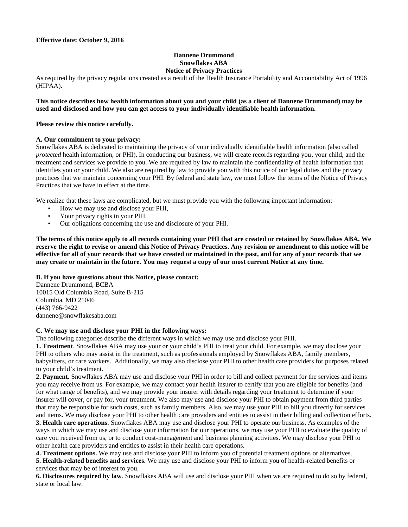#### **Dannene Drummond Snowflakes ABA Notice of Privacy Practices**

As required by the privacy regulations created as a result of the Health Insurance Portability and Accountability Act of 1996 (HIPAA).

### **This notice describes how health information about you and your child (as a client of Dannene Drummond) may be used and disclosed and how you can get access to your individually identifiable health information.**

### **Please review this notice carefully.**

### **A. Our commitment to your privacy:**

Snowflakes ABA is dedicated to maintaining the privacy of your individually identifiable health information (also called *protected* health information, or PHI). In conducting our business, we will create records regarding you, your child, and the treatment and services we provide to you. We are required by law to maintain the confidentiality of health information that identifies you or your child. We also are required by law to provide you with this notice of our legal duties and the privacy practices that we maintain concerning your PHI. By federal and state law, we must follow the terms of the Notice of Privacy Practices that we have in effect at the time.

We realize that these laws are complicated, but we must provide you with the following important information:

- How we may use and disclose your PHI,
- Your privacy rights in your PHI,
- Our obligations concerning the use and disclosure of your PHI.

**The terms of this notice apply to all records containing your PHI that are created or retained by Snowflakes ABA. We reserve the right to revise or amend this Notice of Privacy Practices. Any revision or amendment to this notice will be effective for all of your records that we have created or maintained in the past, and for any of your records that we may create or maintain in the future. You may request a copy of our most current Notice at any time.**

#### **B. If you have questions about this Notice, please contact:**

Dannene Drummond, BCBA 10015 Old Columbia Road, Suite B-215 Columbia, MD 21046 (443) 766-9422 dannene@snowflakesaba.com

### **C. We may use and disclose your PHI in the following ways:**

The following categories describe the different ways in which we may use and disclose your PHI.

**1. Treatment**. Snowflakes ABA may use your or your child's PHI to treat your child. For example, we may disclose your PHI to others who may assist in the treatment, such as professionals employed by Snowflakes ABA, family members, babysitters, or care workers. Additionally, we may also disclose your PHI to other health care providers for purposes related to your child's treatment.

**2. Payment**. Snowflakes ABA may use and disclose your PHI in order to bill and collect payment for the services and items you may receive from us. For example, we may contact your health insurer to certify that you are eligible for benefits (and for what range of benefits), and we may provide your insurer with details regarding your treatment to determine if your insurer will cover, or pay for, your treatment. We also may use and disclose your PHI to obtain payment from third parties that may be responsible for such costs, such as family members. Also, we may use your PHI to bill you directly for services and items. We may disclose your PHI to other health care providers and entities to assist in their billing and collection efforts.

**3. Health care operations**. Snowflakes ABA may use and disclose your PHI to operate our business. As examples of the ways in which we may use and disclose your information for our operations, we may use your PHI to evaluate the quality of care you received from us, or to conduct cost-management and business planning activities. We may disclose your PHI to other health care providers and entities to assist in their health care operations.

**4. Treatment options.** We may use and disclose your PHI to inform you of potential treatment options or alternatives.

**5. Health-related benefits and services.** We may use and disclose your PHI to inform you of health-related benefits or services that may be of interest to you.

**6. Disclosures required by law**. Snowflakes ABA will use and disclose your PHI when we are required to do so by federal, state or local law.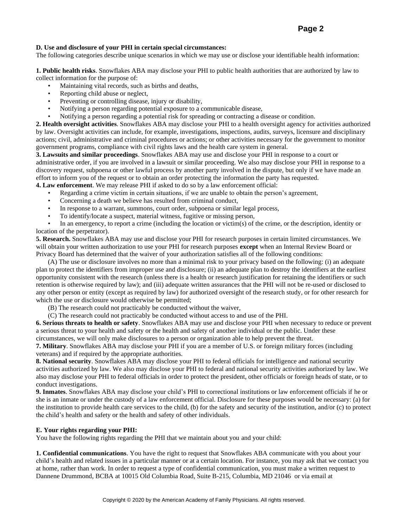# **Page 2**

## **D. Use and disclosure of your PHI in certain special circumstances:**

The following categories describe unique scenarios in which we may use or disclose your identifiable health information:

**1. Public health risks**. Snowflakes ABA may disclose your PHI to public health authorities that are authorized by law to collect information for the purpose of:

- Maintaining vital records, such as births and deaths,
- Reporting child abuse or neglect,
- Preventing or controlling disease, injury or disability,
- Notifying a person regarding potential exposure to a communicable disease,
- Notifying a person regarding a potential risk for spreading or contracting a disease or condition.

**2. Health oversight activities**. Snowflakes ABA may disclose your PHI to a health oversight agency for activities authorized by law. Oversight activities can include, for example, investigations, inspections, audits, surveys, licensure and disciplinary actions; civil, administrative and criminal procedures or actions; or other activities necessary for the government to monitor government programs, compliance with civil rights laws and the health care system in general.

**3. Lawsuits and similar proceedings**. Snowflakes ABA may use and disclose your PHI in response to a court or administrative order, if you are involved in a lawsuit or similar proceeding. We also may disclose your PHI in response to a discovery request, subpoena or other lawful process by another party involved in the dispute, but only if we have made an effort to inform you of the request or to obtain an order protecting the information the party has requested.

**4. Law enforcement**. We may release PHI if asked to do so by a law enforcement official:

- Regarding a crime victim in certain situations, if we are unable to obtain the person's agreement,
- Concerning a death we believe has resulted from criminal conduct,
- In response to a warrant, summons, court order, subpoena or similar legal process,
- To identify/locate a suspect, material witness, fugitive or missing person,

• In an emergency, to report a crime (including the location or victim(s) of the crime, or the description, identity or location of the perpetrator).

**5. Research.** Snowflakes ABA may use and disclose your PHI for research purposes in certain limited circumstances. We will obtain your written authorization to use your PHI for research purposes **except** when an Internal Review Board or Privacy Board has determined that the waiver of your authorization satisfies all of the following conditions:

(A) The use or disclosure involves no more than a minimal risk to your privacy based on the following: (i) an adequate plan to protect the identifiers from improper use and disclosure; (ii) an adequate plan to destroy the identifiers at the earliest opportunity consistent with the research (unless there is a health or research justification for retaining the identifiers or such retention is otherwise required by law); and (iii) adequate written assurances that the PHI will not be re-used or disclosed to any other person or entity (except as required by law) for authorized oversight of the research study, or for other research for which the use or disclosure would otherwise be permitted;

(B) The research could not practicably be conducted without the waiver,

(C) The research could not practicably be conducted without access to and use of the PHI.

**6. Serious threats to health or safety**. Snowflakes ABA may use and disclose your PHI when necessary to reduce or prevent a serious threat to your health and safety or the health and safety of another individual or the public. Under these circumstances, we will only make disclosures to a person or organization able to help prevent the threat.

**7. Military**. Snowflakes ABA may disclose your PHI if you are a member of U.S. or foreign military forces (including veterans) and if required by the appropriate authorities.

**8. National security**. Snowflakes ABA may disclose your PHI to federal officials for intelligence and national security activities authorized by law. We also may disclose your PHI to federal and national security activities authorized by law. We also may disclose your PHI to federal officials in order to protect the president, other officials or foreign heads of state, or to conduct investigations.

**9. Inmates**. Snowflakes ABA may disclose your child's PHI to correctional institutions or law enforcement officials if he or she is an inmate or under the custody of a law enforcement official. Disclosure for these purposes would be necessary: (a) for the institution to provide health care services to the child, (b) for the safety and security of the institution, and/or (c) to protect the child's health and safety or the health and safety of other individuals.

#### **E. Your rights regarding your PHI:**

You have the following rights regarding the PHI that we maintain about you and your child:

**1. Confidential communications**. You have the right to request that Snowflakes ABA communicate with you about your child's health and related issues in a particular manner or at a certain location. For instance, you may ask that we contact you at home, rather than work. In order to request a type of confidential communication, you must make a written request to Dannene Drummond, BCBA at 10015 Old Columbia Road, Suite B-215, Columbia, MD 21046 or via email at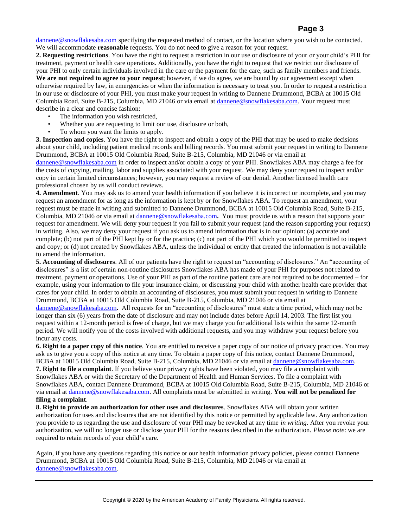# **Page 3**

[dannene@snowflakesaba.com](mailto:christy@snowflakesaba.com) specifying the requested method of contact, or the location where you wish to be contacted. We will accommodate **reasonable** requests. You do not need to give a reason for your request.

**2. Requesting restrictions**. You have the right to request a restriction in our use or disclosure of your or your child's PHI for treatment, payment or health care operations. Additionally, you have the right to request that we restrict our disclosure of your PHI to only certain individuals involved in the care or the payment for the care, such as family members and friends. **We are not required to agree to your request**; however, if we do agree, we are bound by our agreement except when otherwise required by law, in emergencies or when the information is necessary to treat you. In order to request a restriction in our use or disclosure of your PHI, you must make your request in writing to Dannene Drummond, BCBA at 10015 Old Columbia Road, Suite B-215, Columbia, MD 21046 or via email a[t dannene@snowflakesaba.com.](mailto:christy@snowflakesaba.com) Your request must describe in a clear and concise fashion:

- The information you wish restricted,
- Whether you are requesting to limit our use, disclosure or both,
- To whom you want the limits to apply.

**3. Inspection and copies**. You have the right to inspect and obtain a copy of the PHI that may be used to make decisions about your child, including patient medical records and billing records. You must submit your request in writing to Dannene Drummond, BCBA at 10015 Old Columbia Road, Suite B-215, Columbia, MD 21046 or via email at

[dannene@snowflakesaba.com](mailto:christy@snowflakesaba.com) in order to inspect and/or obtain a copy of your PHI. Snowflakes ABA may charge a fee for the costs of copying, mailing, labor and supplies associated with your request. We may deny your request to inspect and/or copy in certain limited circumstances; however, you may request a review of our denial. Another licensed health care professional chosen by us will conduct reviews.

**4. Amendment**. You may ask us to amend your health information if you believe it is incorrect or incomplete, and you may request an amendment for as long as the information is kept by or for Snowflakes ABA. To request an amendment, your request must be made in writing and submitted to Dannene Drummond, BCBA at 10015 Old Columbia Road, Suite B-215, Columbia, MD 21046 or via email a[t dannene@snowflakesaba.com](mailto:christy@snowflakesaba.com)**.** You must provide us with a reason that supports your request for amendment. We will deny your request if you fail to submit your request (and the reason supporting your request) in writing. Also, we may deny your request if you ask us to amend information that is in our opinion: (a) accurate and complete; (b) not part of the PHI kept by or for the practice; (c) not part of the PHI which you would be permitted to inspect and copy; or (d) not created by Snowflakes ABA, unless the individual or entity that created the information is not available to amend the information.

**5. Accounting of disclosures**. All of our patients have the right to request an "accounting of disclosures." An "accounting of disclosures" is a list of certain non-routine disclosures Snowflakes ABA has made of your PHI for purposes not related to treatment, payment or operations. Use of your PHI as part of the routine patient care are not required to be documented – for example, using your information to file your insurance claim, or discussing your child with another health care provider that cares for your child. In order to obtain an accounting of disclosures, you must submit your request in writing to Dannene Drummond, BCBA at 10015 Old Columbia Road, Suite B-215, Columbia, MD 21046 or via email at

[dannene@snowflakesaba.com](mailto:christy@snowflakesaba.com)**.** All requests for an "accounting of disclosures" must state a time period, which may not be longer than six (6) years from the date of disclosure and may not include dates before April 14, 2003. The first list you request within a 12-month period is free of charge, but we may charge you for additional lists within the same 12-month period. We will notify you of the costs involved with additional requests, and you may withdraw your request before you incur any costs.

**6. Right to a paper copy of this notice**. You are entitled to receive a paper copy of our notice of privacy practices. You may ask us to give you a copy of this notice at any time. To obtain a paper copy of this notice, contact Dannene Drummond, BCBA at 10015 Old Columbia Road, Suite B-215, Columbia, MD 21046 or via email at [dannene@snowflakesaba.com.](mailto:christy@snowflakesaba.com) **7. Right to file a complaint**. If you believe your privacy rights have been violated, you may file a complaint with Snowflakes ABA or with the Secretary of the Department of Health and Human Services. To file a complaint with Snowflakes ABA, contact Dannene Drummond, BCBA at 10015 Old Columbia Road, Suite B-215, Columbia, MD 21046 or via email at [dannene@snowflakesaba.com.](mailto:christy@snowflakesaba.com) All complaints must be submitted in writing. **You will not be penalized for** 

## **filing a complaint**.

**8. Right to provide an authorization for other uses and disclosures**. Snowflakes ABA will obtain your written authorization for uses and disclosures that are not identified by this notice or permitted by applicable law. Any authorization you provide to us regarding the use and disclosure of your PHI may be revoked at any time *in writing*. After you revoke your authorization, we will no longer use or disclose your PHI for the reasons described in the authorization. *Please note*: we are required to retain records of your child's care.

Again, if you have any questions regarding this notice or our health information privacy policies, please contact Dannene Drummond, BCBA at 10015 Old Columbia Road, Suite B-215, Columbia, MD 21046 or via email at [dannene@snowflakesaba.com.](mailto:christy@snowflakesaba.com)